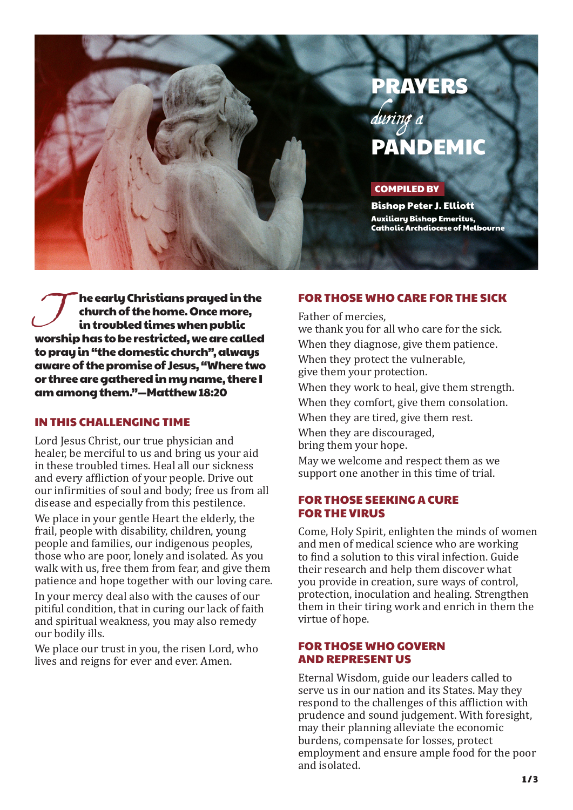

he early Christians prayed in the church of the home. Once more, in troubled times when public worship has to be restricted, we are called to pray in "the domestic church", always aware of the promise of Jesus, "Where two or three are gathered in my name, there I am among them."—Matthew 18:20 The early Christians prayed in the<br>
church of the home. Once more,<br>
in troubled times when public<br>
we thank you for all who care for the sick.<br>
we thank you for all who care for the sick.

#### IN THIS CHALLENGING TIME

Lord Jesus Christ, our true physician and healer, be merciful to us and bring us your aid in these troubled times. Heal all our sickness and every affliction of your people. Drive out our infirmities of soul and body; free us from all disease and especially from this pestilence.

We place in your gentle Heart the elderly, the frail, people with disability, children, young people and families, our indigenous peoples, those who are poor, lonely and isolated. As you walk with us, free them from fear, and give them patience and hope together with our loving care.

In your mercy deal also with the causes of our pitiful condition, that in curing our lack of faith and spiritual weakness, you may also remedy our bodily ills.

We place our trust in you, the risen Lord, who lives and reigns for ever and ever. Amen.

Father of mercies, When they diagnose, give them patience. When they protect the vulnerable, give them your protection. When they work to heal, give them strength. When they comfort, give them consolation.

When they are tired, give them rest.

When they are discouraged, bring them your hope.

May we welcome and respect them as we support one another in this time of trial.

## FOR THOSE SEEKING A CURE FOR THE VIRUS

Come, Holy Spirit, enlighten the minds of women and men of medical science who are working to find a solution to this viral infection. Guide their research and help them discover what you provide in creation, sure ways of control, protection, inoculation and healing. Strengthen them in their tiring work and enrich in them the virtue of hope.

## FOR THOSE WHO GOVERN AND REPRESENT US

Eternal Wisdom, guide our leaders called to serve us in our nation and its States. May they respond to the challenges of this affliction with prudence and sound judgement. With foresight, may their planning alleviate the economic burdens, compensate for losses, protect employment and ensure ample food for the poor and isolated.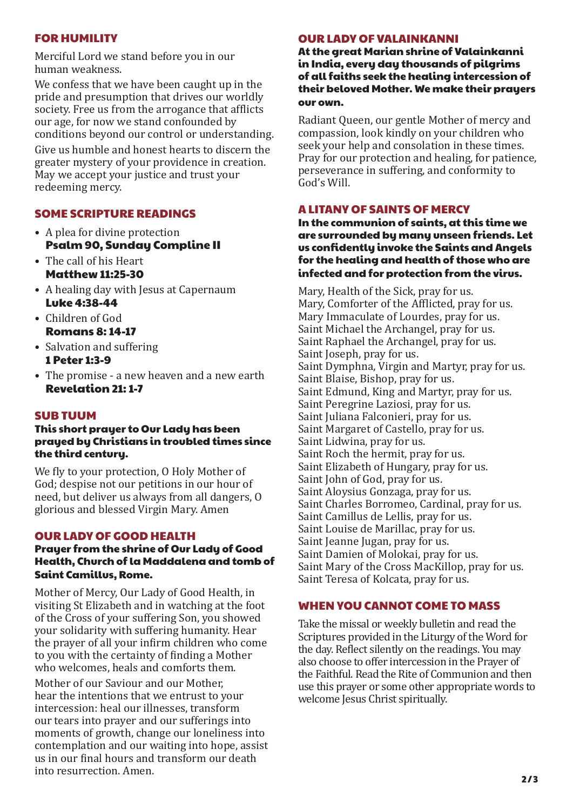## FOR HUMILITY

Merciful Lord we stand before you in our human weakness.

We confess that we have been caught up in the pride and presumption that drives our worldly society. Free us from the arrogance that afflicts our age, for now we stand confounded by conditions beyond our control or understanding. Give us humble and honest hearts to discern the greater mystery of your providence in creation. May we accept your justice and trust your redeeming mercy.

# SOME SCRIPTURE READINGS

- A plea for divine protection Psalm 90, Sunday Compline II
- The call of his Heart Matthew 11:25-30
- A healing day with Jesus at Capernaum Luke 4:38-44
- Children of God Romans 8: 14-17
- Salvation and suffering 1 Peter 1:3-9
- The promise a new heaven and a new earth Revelation 21: 1-7

## SUB TUUM

#### This short prayer to Our Lady has been prayed by Christians in troubled times since the third century.

We fly to your protection, O Holy Mother of God; despise not our petitions in our hour of need, but deliver us always from all dangers, O glorious and blessed Virgin Mary. Amen

## OUR LADY OF GOOD HEALTH

#### Prayer from the shrine of Our Lady of Good Health, Church of la Maddalena and tomb of Saint Camillus, Rome.

Mother of Mercy, Our Lady of Good Health, in visiting St Elizabeth and in watching at the foot of the Cross of your suffering Son, you showed your solidarity with suffering humanity. Hear the prayer of all your infirm children who come to you with the certainty of finding a Mother who welcomes, heals and comforts them.

Mother of our Saviour and our Mother, hear the intentions that we entrust to your intercession: heal our illnesses, transform our tears into prayer and our sufferings into moments of growth, change our loneliness into contemplation and our waiting into hope, assist us in our final hours and transform our death into resurrection. Amen.

## OUR LADY OF VALAINKANNI

At the great Marian shrine of Valainkanni in India, every day thousands of pilgrims of all faiths seek the healing intercession of their beloved Mother. We make their prayers our own.

Radiant Queen, our gentle Mother of mercy and compassion, look kindly on your children who seek your help and consolation in these times. Pray for our protection and healing, for patience, perseverance in suffering, and conformity to God's Will.

## A LITANY OF SAINTS OF MERCY

In the communion of saints, at this time we are surrounded by many unseen friends. Let us confidently invoke the Saints and Angels for the healing and health of those who are infected and for protection from the virus.

Mary, Health of the Sick, pray for us. Mary, Comforter of the Afflicted, pray for us. Mary Immaculate of Lourdes, pray for us. Saint Michael the Archangel, pray for us. Saint Raphael the Archangel, pray for us. Saint Joseph, pray for us. Saint Dymphna, Virgin and Martyr, pray for us. Saint Blaise, Bishop, pray for us. Saint Edmund, King and Martyr, pray for us. Saint Peregrine Laziosi, pray for us. Saint Juliana Falconieri, pray for us. Saint Margaret of Castello, pray for us. Saint Lidwina, pray for us. Saint Roch the hermit, pray for us. Saint Elizabeth of Hungary, pray for us. Saint John of God, pray for us. Saint Aloysius Gonzaga, pray for us. Saint Charles Borromeo, Cardinal, pray for us. Saint Camillus de Lellis, pray for us. Saint Louise de Marillac, pray for us. Saint Jeanne Jugan, pray for us. Saint Damien of Molokai, pray for us. Saint Mary of the Cross MacKillop, pray for us. Saint Teresa of Kolcata, pray for us.

## WHEN YOU CANNOT COME TO MASS

Take the missal or weekly bulletin and read the Scriptures provided in the Liturgy of the Word for the day. Reflect silently on the readings. You may also choose to offer intercession in the Prayer of the Faithful. Read the Rite of Communion and then use this prayer or some other appropriate words to welcome Jesus Christ spiritually.